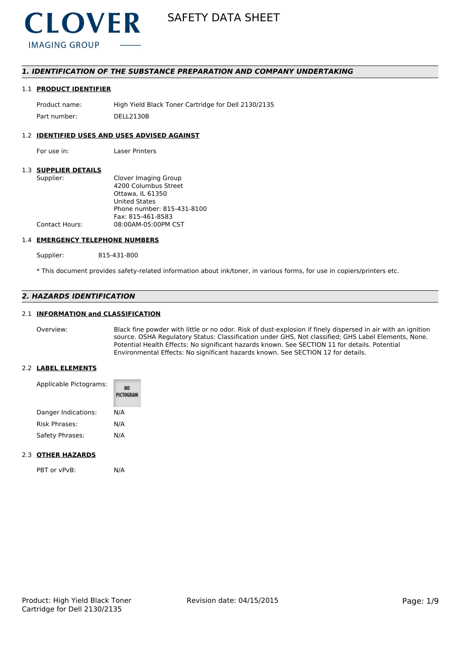

## *1. IDENTIFICATION OF THE SUBSTANCE PREPARATION AND COMPANY UNDERTAKING*

#### 1.1 **PRODUCT IDENTIFIER**

Product name: High Yield Black Toner Cartridge for Dell 2130/2135 Part number: DELL2130B

## 1.2 **IDENTIFIED USES AND USES ADVISED AGAINST**

For use in: Laser Printers

## 1.3 **SUPPLIER DETAILS**

| Supplier:             | Clover Imaging Group       |
|-----------------------|----------------------------|
|                       | 4200 Columbus Street       |
|                       | Ottawa, IL 61350           |
|                       | <b>United States</b>       |
|                       | Phone number: 815-431-8100 |
|                       | Fax: 815-461-8583          |
| <b>Contact Hours:</b> | 08:00AM-05:00PM CST        |
|                       |                            |

### 1.4 **EMERGENCY TELEPHONE NUMBERS**

Supplier: 815-431-800

\* This document provides safety-related information about ink/toner, in various forms, for use in copiers/printers etc.

## *2. HAZARDS IDENTIFICATION*

## 2.1 **INFORMATION and CLASSIFICATION**

Overview: Black fine powder with little or no odor. Risk of dust-explosion if finely dispersed in air with an ignition source. OSHA Regulatory Status: Classification under GHS, Not classified; GHS Label Elements, None. Potential Health Effects: No significant hazards known. See SECTION 11 for details. Potential Environmental Effects: No significant hazards known. See SECTION 12 for details.

## 2.2 **LABEL ELEMENTS**

| Applicable Pictograms: | PICTOGRAM |  |
|------------------------|-----------|--|
| Danger Indications:    | N/A       |  |
| Risk Phrases:          | N/A       |  |
| Safety Phrases:        | N/A       |  |

### 2.3 **OTHER HAZARDS**

PBT or vPvB: N/A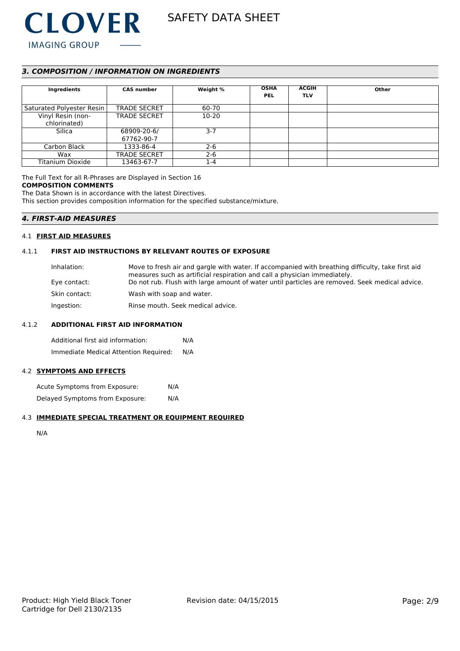

## *3. COMPOSITION / INFORMATION ON INGREDIENTS*

|                           |                     |          | <b>OSHA</b> | <b>ACGIH</b> |       |
|---------------------------|---------------------|----------|-------------|--------------|-------|
| Ingredients               | <b>CAS number</b>   | Weight % |             |              | Other |
|                           |                     |          | <b>PEL</b>  | <b>TLV</b>   |       |
| Saturated Polyester Resin | <b>TRADE SECRET</b> | 60-70    |             |              |       |
| Vinyl Resin (non-         | <b>TRADE SECRET</b> | 10-20    |             |              |       |
| chlorinated)              |                     |          |             |              |       |
| Silica                    | 68909-20-6/         | $3 - 7$  |             |              |       |
|                           | 67762-90-7          |          |             |              |       |
| Carbon Black              | 1333-86-4           | $2 - 6$  |             |              |       |
| Wax                       | <b>TRADE SECRET</b> | $2 - 6$  |             |              |       |
| Titanium Dioxide          | 13463-67-7          | 1-4      |             |              |       |

## The Full Text for all R-Phrases are Displayed in Section 16

#### **COMPOSITION COMMENTS**

The Data Shown is in accordance with the latest Directives.

This section provides composition information for the specified substance/mixture.

## *4. FIRST-AID MEASURES*

### 4.1 **FIRST AID MEASURES**

## 4.1.1 **FIRST AID INSTRUCTIONS BY RELEVANT ROUTES OF EXPOSURE**

| Inhalation:   | Move to fresh air and gargle with water. If accompanied with breathing difficulty, take first aid<br>measures such as artificial respiration and call a physician immediately. |
|---------------|--------------------------------------------------------------------------------------------------------------------------------------------------------------------------------|
| Eye contact:  | Do not rub. Flush with large amount of water until particles are removed. Seek medical advice.                                                                                 |
| Skin contact: | Wash with soap and water.                                                                                                                                                      |
| Ingestion:    | Rinse mouth. Seek medical advice.                                                                                                                                              |

## 4.1.2 **ADDITIONAL FIRST AID INFORMATION**

Additional first aid information: N/A Immediate Medical Attention Required: N/A

## 4.2 **SYMPTOMS AND EFFECTS**

Acute Symptoms from Exposure: N/A Delayed Symptoms from Exposure: N/A

## 4.3 **IMMEDIATE SPECIAL TREATMENT OR EQUIPMENT REQUIRED**

N/A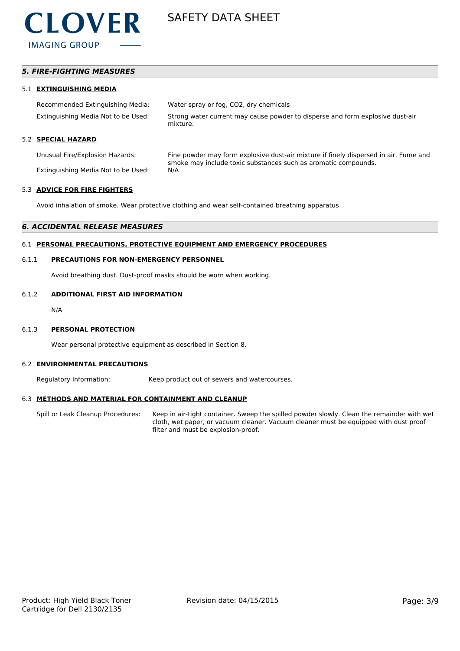

## *5. FIRE-FIGHTING MEASURES*

### 5.1 **EXTINGUISHING MEDIA**

| Recommended Extinguishing Media:    | Water spray or fog, CO2, dry chemicals                                                    |
|-------------------------------------|-------------------------------------------------------------------------------------------|
| Extinguishing Media Not to be Used: | Strong water current may cause powder to disperse and form explosive dust-air<br>mixture. |

## 5.2 **SPECIAL HAZARD**

Unusual Fire/Explosion Hazards: Fine powder may form explosive dust-air mixture if finely dispersed in air. Fume and smoke may include toxic substances such as aromatic compounds. Extinguishing Media Not to be Used: N/A

### 5.3 **ADVICE FOR FIRE FIGHTERS**

Avoid inhalation of smoke. Wear protective clothing and wear self-contained breathing apparatus

## *6. ACCIDENTAL RELEASE MEASURES*

## 6.1 **PERSONAL PRECAUTIONS, PROTECTIVE EQUIPMENT AND EMERGENCY PROCEDURES**

#### 6.1.1 **PRECAUTIONS FOR NON-EMERGENCY PERSONNEL**

Avoid breathing dust. Dust-proof masks should be worn when working.

#### 6.1.2 **ADDITIONAL FIRST AID INFORMATION**

N/A

#### 6.1.3 **PERSONAL PROTECTION**

Wear personal protective equipment as described in Section 8.

#### 6.2 **ENVIRONMENTAL PRECAUTIONS**

Regulatory Information: Keep product out of sewers and watercourses.

### 6.3 **METHODS AND MATERIAL FOR CONTAINMENT AND CLEANUP**

Spill or Leak Cleanup Procedures: Keep in air-tight container. Sweep the spilled powder slowly. Clean the remainder with wet cloth, wet paper, or vacuum cleaner. Vacuum cleaner must be equipped with dust proof filter and must be explosion-proof.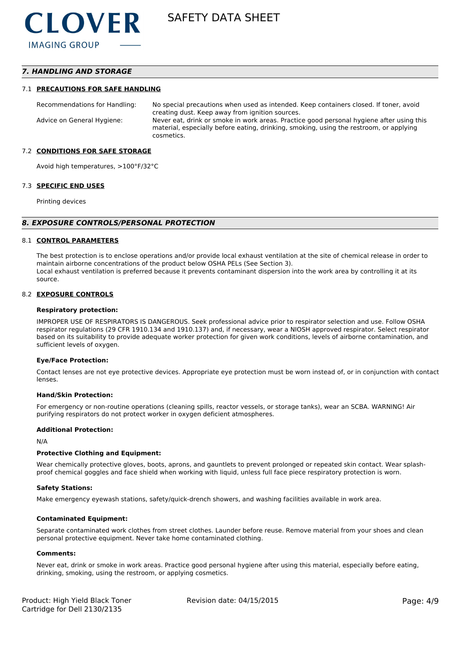## *7. HANDLING AND STORAGE*

#### 7.1 **PRECAUTIONS FOR SAFE HANDLING**

Recommendations for Handling: No special precautions when used as intended. Keep containers closed. If toner, avoid creating dust. Keep away from ignition sources. Advice on General Hygiene: Never eat, drink or smoke in work areas. Practice good personal hygiene after using this material, especially before eating, drinking, smoking, using the restroom, or applying cosmetics.

#### 7.2 **CONDITIONS FOR SAFE STORAGE**

Avoid high temperatures, >100°F/32°C

#### 7.3 **SPECIFIC END USES**

Printing devices

#### *8. EXPOSURE CONTROLS/PERSONAL PROTECTION*

#### 8.1 **CONTROL PARAMETERS**

The best protection is to enclose operations and/or provide local exhaust ventilation at the site of chemical release in order to maintain airborne concentrations of the product below OSHA PELs (See Section 3). Local exhaust ventilation is preferred because it prevents contaminant dispersion into the work area by controlling it at its source.

#### 8.2 **EXPOSURE CONTROLS**

#### **Respiratory protection:**

IMPROPER USE OF RESPIRATORS IS DANGEROUS. Seek professional advice prior to respirator selection and use. Follow OSHA respirator regulations (29 CFR 1910.134 and 1910.137) and, if necessary, wear a NIOSH approved respirator. Select respirator based on its suitability to provide adequate worker protection for given work conditions, levels of airborne contamination, and sufficient levels of oxygen.

#### **Eye/Face Protection:**

Contact lenses are not eye protective devices. Appropriate eye protection must be worn instead of, or in conjunction with contact lenses.

#### **Hand/Skin Protection:**

For emergency or non-routine operations (cleaning spills, reactor vessels, or storage tanks), wear an SCBA. WARNING! Air purifying respirators do not protect worker in oxygen deficient atmospheres.

#### **Additional Protection:**

N/A

#### **Protective Clothing and Equipment:**

Wear chemically protective gloves, boots, aprons, and gauntlets to prevent prolonged or repeated skin contact. Wear splashproof chemical goggles and face shield when working with liquid, unless full face piece respiratory protection is worn.

#### **Safety Stations:**

Make emergency eyewash stations, safety/quick-drench showers, and washing facilities available in work area.

#### **Contaminated Equipment:**

Separate contaminated work clothes from street clothes. Launder before reuse. Remove material from your shoes and clean personal protective equipment. Never take home contaminated clothing.

#### **Comments:**

Never eat, drink or smoke in work areas. Practice good personal hygiene after using this material, especially before eating, drinking, smoking, using the restroom, or applying cosmetics.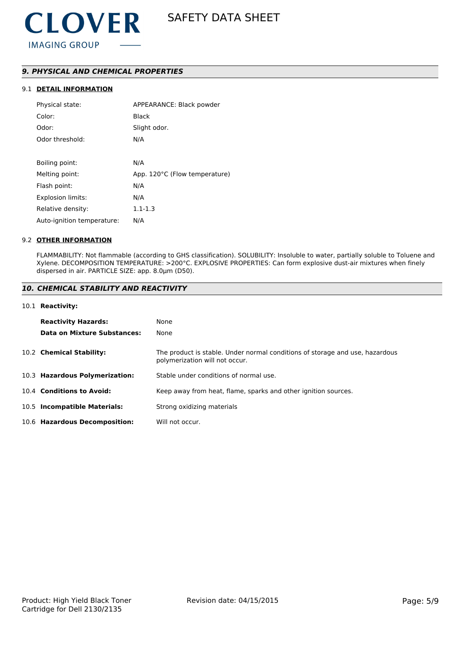## *9. PHYSICAL AND CHEMICAL PROPERTIES*

## 9.1 **DETAIL INFORMATION**

| Physical state:            | APPEARANCE: Black powder      |
|----------------------------|-------------------------------|
| Color:                     | Black                         |
| Odor:                      | Slight odor.                  |
| Odor threshold:            | N/A                           |
|                            |                               |
| Boiling point:             | N/A                           |
| Melting point:             | App. 120°C (Flow temperature) |
| Flash point:               | N/A                           |
| <b>Explosion limits:</b>   | N/A                           |
| Relative density:          | $1.1 - 1.3$                   |
| Auto-ignition temperature: | N/A                           |

#### 9.2 **OTHER INFORMATION**

FLAMMABILITY: Not flammable (according to GHS classification). SOLUBILITY: Insoluble to water, partially soluble to Toluene and Xylene. DECOMPOSITION TEMPERATURE: >200°C. EXPLOSIVE PROPERTIES: Can form explosive dust-air mixtures when finely dispersed in air. PARTICLE SIZE: app. 8.0µm (D50).

## *10. CHEMICAL STABILITY AND REACTIVITY*

#### 10.1 **Reactivity:**

| <b>Reactivity Hazards:</b>     | None                                                                                                           |
|--------------------------------|----------------------------------------------------------------------------------------------------------------|
| Data on Mixture Substances:    | None                                                                                                           |
| 10.2 Chemical Stability:       | The product is stable. Under normal conditions of storage and use, hazardous<br>polymerization will not occur. |
| 10.3 Hazardous Polymerization: | Stable under conditions of normal use.                                                                         |
| 10.4 Conditions to Avoid:      | Keep away from heat, flame, sparks and other ignition sources.                                                 |
| 10.5 Incompatible Materials:   | Strong oxidizing materials                                                                                     |
| 10.6 Hazardous Decomposition:  | Will not occur.                                                                                                |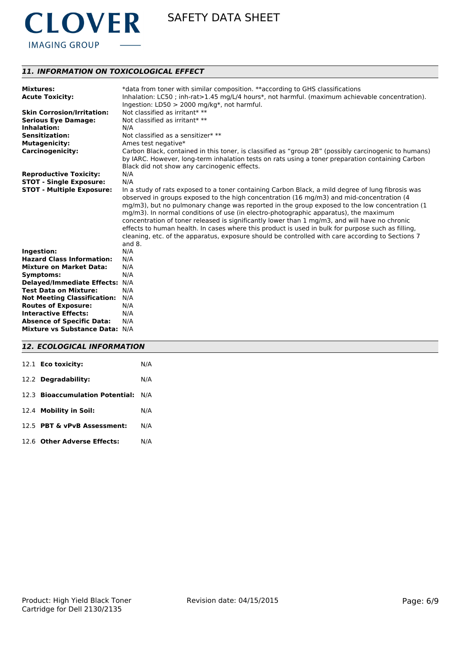

## *11. INFORMATION ON TOXICOLOGICAL EFFECT*

| <b>Mixtures:</b>                   | *data from toner with similar composition. **according to GHS classifications                        |
|------------------------------------|------------------------------------------------------------------------------------------------------|
| <b>Acute Toxicity:</b>             | Inhalation: LC50; inh-rat>1.45 mg/L/4 hours*, not harmful. (maximum achievable concentration).       |
|                                    | Ingestion: $LD50 > 2000$ mg/kg*, not harmful.                                                        |
| <b>Skin Corrosion/Irritation:</b>  | Not classified as irritant* **                                                                       |
| <b>Serious Eye Damage:</b>         | Not classified as irritant* **                                                                       |
| Inhalation:                        | N/A                                                                                                  |
| <b>Sensitization:</b>              | Not classified as a sensitizer* **                                                                   |
| <b>Mutagenicity:</b>               | Ames test negative*                                                                                  |
| <b>Carcinogenicity:</b>            | Carbon Black, contained in this toner, is classified as "group 2B" (possibly carcinogenic to humans) |
|                                    | by IARC. However, long-term inhalation tests on rats using a toner preparation containing Carbon     |
|                                    | Black did not show any carcinogenic effects.                                                         |
| <b>Reproductive Toxicity:</b>      | N/A                                                                                                  |
| <b>STOT - Single Exposure:</b>     | N/A                                                                                                  |
| <b>STOT - Multiple Exposure:</b>   | In a study of rats exposed to a toner containing Carbon Black, a mild degree of lung fibrosis was    |
|                                    | observed in groups exposed to the high concentration (16 mg/m3) and mid-concentration (4             |
|                                    | mg/m3), but no pulmonary change was reported in the group exposed to the low concentration (1        |
|                                    | mg/m3). In normal conditions of use (in electro-photographic apparatus), the maximum                 |
|                                    | concentration of toner released is significantly lower than 1 mg/m3, and will have no chronic        |
|                                    | effects to human health. In cases where this product is used in bulk for purpose such as filling,    |
|                                    | cleaning, etc. of the apparatus, exposure should be controlled with care according to Sections 7     |
|                                    | and $8.$                                                                                             |
| Ingestion:                         | N/A                                                                                                  |
| <b>Hazard Class Information:</b>   | N/A                                                                                                  |
| <b>Mixture on Market Data:</b>     | N/A                                                                                                  |
| Symptoms:                          | N/A                                                                                                  |
| <b>Delayed/Immediate Effects:</b>  | N/A                                                                                                  |
| <b>Test Data on Mixture:</b>       | N/A                                                                                                  |
| <b>Not Meeting Classification:</b> | N/A                                                                                                  |
| <b>Routes of Exposure:</b>         | N/A                                                                                                  |
| <b>Interactive Effects:</b>        | N/A                                                                                                  |
| <b>Absence of Specific Data:</b>   | N/A                                                                                                  |
| Mixture vs Substance Data: N/A     |                                                                                                      |
|                                    |                                                                                                      |

## *12. ECOLOGICAL INFORMATION*

| 12.1 Eco toxicity:                  | N/A |
|-------------------------------------|-----|
| 12.2 Degradability:                 | N/A |
| 12.3 Bioaccumulation Potential: N/A |     |
| 12.4 Mobility in Soil:              | N/A |
| 12.5 PBT & vPvB Assessment:         | N/A |
| 12.6 Other Adverse Effects:         | N/A |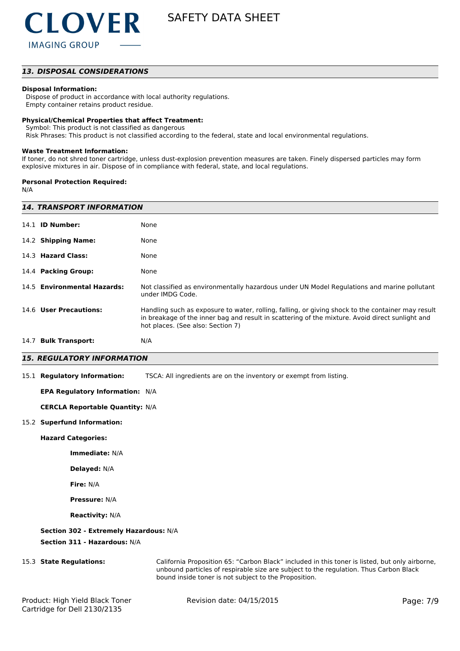## *13. DISPOSAL CONSIDERATIONS*

#### **Disposal Information:**

 Dispose of product in accordance with local authority regulations. Empty container retains product residue.

#### **Physical/Chemical Properties that affect Treatment:**

Symbol: This product is not classified as dangerous

Risk Phrases: This product is not classified according to the federal, state and local environmental regulations.

#### **Waste Treatment Information:**

If toner, do not shred toner cartridge, unless dust-explosion prevention measures are taken. Finely dispersed particles may form explosive mixtures in air. Dispose of in compliance with federal, state, and local regulations.

#### **Personal Protection Required:**

N/A

|      | <b>14. TRANSPORT INFORMATION</b> |                                                                                                                                                                                                                                           |  |  |
|------|----------------------------------|-------------------------------------------------------------------------------------------------------------------------------------------------------------------------------------------------------------------------------------------|--|--|
|      | 14.1 <b>ID Number:</b>           | None                                                                                                                                                                                                                                      |  |  |
|      | 14.2 Shipping Name:              | None                                                                                                                                                                                                                                      |  |  |
|      | 14.3 Hazard Class:               | None                                                                                                                                                                                                                                      |  |  |
|      | 14.4 Packing Group:              | None                                                                                                                                                                                                                                      |  |  |
|      | 14.5 Environmental Hazards:      | Not classified as environmentally hazardous under UN Model Regulations and marine pollutant<br>under IMDG Code.                                                                                                                           |  |  |
|      | 14.6 User Precautions:           | Handling such as exposure to water, rolling, falling, or giving shock to the container may result<br>in breakage of the inner bag and result in scattering of the mixture. Avoid direct sunlight and<br>hot places. (See also: Section 7) |  |  |
| 14.7 | <b>Bulk Transport:</b>           | N/A                                                                                                                                                                                                                                       |  |  |

## *15. REGULATORY INFORMATION*

15.1 **Regulatory Information:** TSCA: All ingredients are on the inventory or exempt from listing.

#### **EPA Regulatory Information:** N/A

**CERCLA Reportable Quantity:** N/A

#### 15.2 **Superfund Information:**

**Hazard Categories:**

**Immediate:** N/A

**Delayed:** N/A

**Fire:** N/A

**Pressure:** N/A

**Reactivity:** N/A

#### **Section 302 - Extremely Hazardous:** N/A

**Section 311 - Hazardous:** N/A

15.3 **State Regulations:** California Proposition 65: "Carbon Black" included in this toner is listed, but only airborne, unbound particles of respirable size are subject to the regulation. Thus Carbon Black bound inside toner is not subject to the Proposition.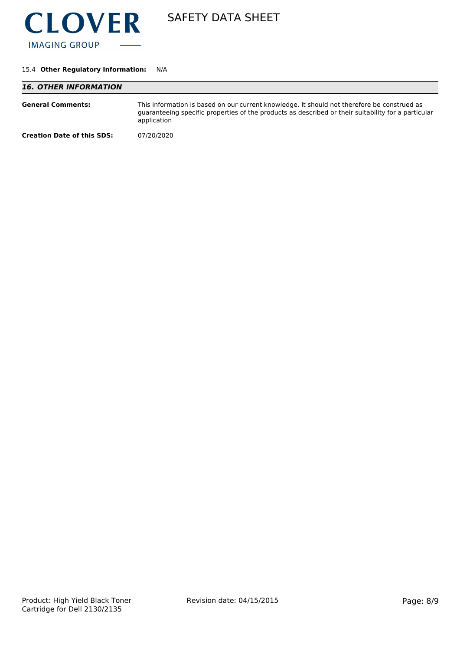

### 15.4 **Other Regulatory Information:** N/A

| <b>16. OTHER INFORMATION</b>      |                                                                                                                                                                                                                   |  |
|-----------------------------------|-------------------------------------------------------------------------------------------------------------------------------------------------------------------------------------------------------------------|--|
| <b>General Comments:</b>          | This information is based on our current knowledge. It should not therefore be construed as<br>guaranteeing specific properties of the products as described or their suitability for a particular<br>application |  |
| <b>Creation Date of this SDS:</b> | 07/20/2020                                                                                                                                                                                                        |  |